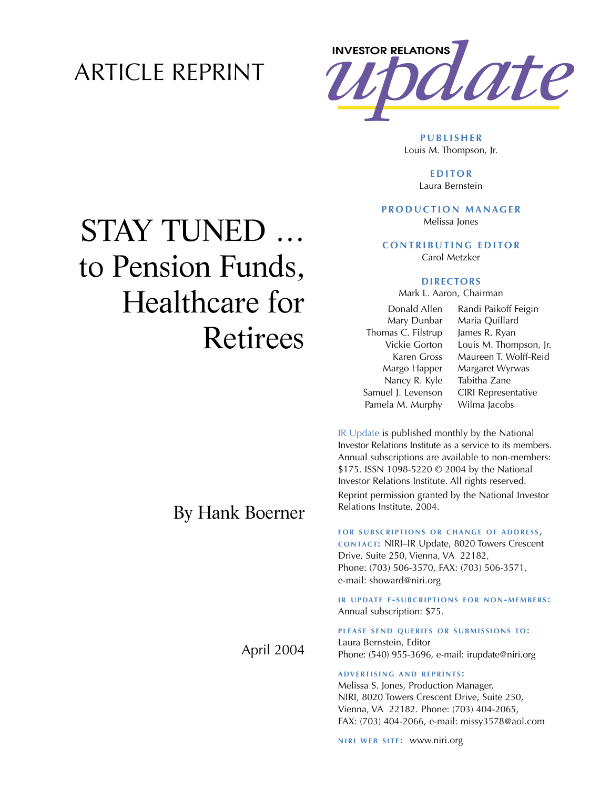## ARTICLE REPRINT



**PUBLISHER** Louis M. Thompson, Jr.

> **EDITOR** Laura Bernstein

#### **PRODUCTION MANAGER** Melissa Jones

**CONTRIBUTING EDITOR** Carol Metzker

## **DIRECTORS**

Mark L. Aaron, Chairman

Donald Allen Mary Dunbar Thomas C. Filstrup Vickie Gorton Karen Gross Margo Happer Nancy R. Kyle Samuel J. Levenson Pamela M. Murphy Randi Paikoff Feigin Maria Quillard James R. Ryan Louis M. Thompson, Jr. Maureen T. Wolff-Reid Margaret Wyrwas Tabitha Zane CIRI Representative Wilma Jacobs

IR Update is published monthly by the National Investor Relations Institute as a service to its members. Annual subscriptions are available to non-members: \$175. ISSN 1098-5220 © 2004 by the National Investor Relations Institute. All rights reserved. Reprint permission granted by the National Investor Relations Institute, 2004.

### **FOR SUBSCRIPTIONS OR CHANGE OF ADDRESS ,**

**CONTACT:** NIRI–IR Update, 8020 Towers Crescent Drive, Suite 250, Vienna, VA 22182, Phone: (703) 506-3570, FAX: (703) 506-3571, e-mail: showard@niri.org

**IR UPDATE E - SUBCRIPTIONS FOR NON-MEMBERS :** Annual subscription: \$75.

**PLEASE SEND QUERIES OR SUBMISSIONS TO:** Laura Bernstein, Editor Phone: (540) 955-3696, e-mail: irupdate@niri.org

## **ADVERTISING AND REPRINTS :**

Melissa S. Jones, Production Manager, NIRI, 8020 Towers Crescent Drive, Suite 250, Vienna, VA 22182. Phone: (703) 404-2065, FAX: (703) 404-2066, e-mail: missy3578@aol.com

**NIRI WEB SITE: WWW.niri.org** 

# STAY TUNED … to Pension Funds, Healthcare for Retirees

## By Hank Boerner

April 2004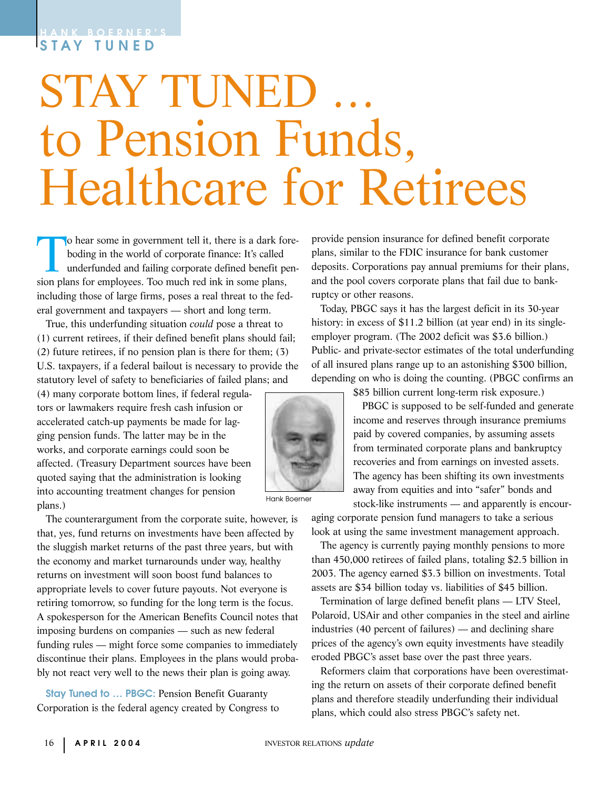# **STAY TUNED**

# STAY TUNED to Pension Funds, Healthcare for Retirees

To hear some in government tell it, there is a dark fore-<br>boding in the world of corporate finance: It's called<br>underfunded and failing corporate defined benefit pen-<br>sion plans for employees. Too much red ink in some plan boding in the world of corporate finance: It's called underfunded and failing corporate defined benefit pension plans for employees. Too much red ink in some plans, including those of large firms, poses a real threat to the federal government and taxpayers — short and long term.

True, this underfunding situation *could* pose a threat to (1) current retirees, if their defined benefit plans should fail; (2) future retirees, if no pension plan is there for them; (3) U.S. taxpayers, if a federal bailout is necessary to provide the statutory level of safety to beneficiaries of failed plans; and

(4) many corporate bottom lines, if federal regulators or lawmakers require fresh cash infusion or accelerated catch-up payments be made for lagging pension funds. The latter may be in the works, and corporate earnings could soon be affected. (Treasury Department sources have been quoted saying that the administration is looking into accounting treatment changes for pension plans.)

The counterargument from the corporate suite, however, is that, yes, fund returns on investments have been affected by the sluggish market returns of the past three years, but with the economy and market turnarounds under way, healthy returns on investment will soon boost fund balances to appropriate levels to cover future payouts. Not everyone is retiring tomorrow, so funding for the long term is the focus. A spokesperson for the American Benefits Council notes that imposing burdens on companies — such as new federal funding rules — might force some companies to immediately discontinue their plans. Employees in the plans would probably not react very well to the news their plan is going away.

**Stay Tuned to ... PBGC: Pension Benefit Guaranty** Corporation is the federal agency created by Congress to provide pension insurance for defined benefit corporate plans, similar to the FDIC insurance for bank customer deposits. Corporations pay annual premiums for their plans, and the pool covers corporate plans that fail due to bankruptcy or other reasons.

Today, PBGC says it has the largest deficit in its 30-year history: in excess of \$11.2 billion (at year end) in its singleemployer program. (The 2002 deficit was \$3.6 billion.) Public- and private-sector estimates of the total underfunding of all insured plans range up to an astonishing \$300 billion, depending on who is doing the counting. (PBGC confirms an

\$85 billion current long-term risk exposure.)

PBGC is supposed to be self-funded and generate income and reserves through insurance premiums paid by covered companies, by assuming assets from terminated corporate plans and bankruptcy recoveries and from earnings on invested assets. The agency has been shifting its own investments away from equities and into "safer" bonds and stock-like instruments — and apparently is encour-

aging corporate pension fund managers to take a serious look at using the same investment management approach.

The agency is currently paying monthly pensions to more than 450,000 retirees of failed plans, totaling \$2.5 billion in 2003. The agency earned \$3.3 billion on investments. Total assets are \$34 billion today vs. liabilities of \$45 billion.

Termination of large defined benefit plans — LTV Steel, Polaroid, USAir and other companies in the steel and airline industries (40 percent of failures) — and declining share prices of the agency's own equity investments have steadily eroded PBGC's asset base over the past three years.

Reformers claim that corporations have been overestimating the return on assets of their corporate defined benefit plans and therefore steadily underfunding their individual plans, which could also stress PBGC's safety net.



Hank Boerner